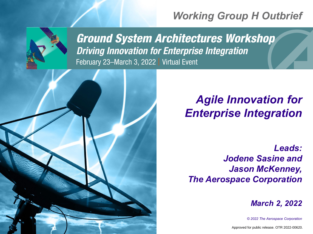# *Working Group H Outbrief*



**Ground System Architectures Workshop Driving Innovation for Enterprise Integration** February 23-March 3, 2022 | Virtual Event



*Leads: Jodene Sasine and Jason McKenney, The Aerospace Corporation*

*March 2, 2022*

*© 2022 The Aerospace Corporation*

Approved for public release. OTR 2022-00620.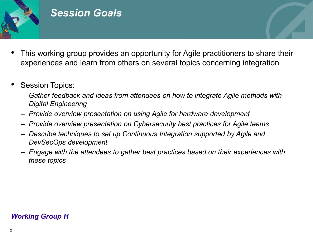

# *Session Goals*

- This working group provides an opportunity for Agile practitioners to share their experiences and learn from others on several topics concerning integration
- Session Topics:
	- *Gather feedback and ideas from attendees on how to integrate Agile methods with Digital Engineering*
	- *Provide overview presentation on using Agile for hardware development*
	- *Provide overview presentation on Cybersecurity best practices for Agile teams*
	- *Describe techniques to set up Continuous Integration supported by Agile and DevSecOps development*
	- *Engage with the attendees to gather best practices based on their experiences with these topics*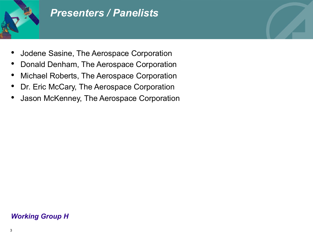

# *Presenters / Panelists*

- Jodene Sasine, The Aerospace Corporation
- Donald Denham, The Aerospace Corporation
- Michael Roberts, The Aerospace Corporation
- Dr. Eric McCary, The Aerospace Corporation
- Jason McKenney, The Aerospace Corporation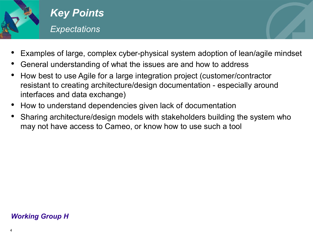

# *Key Points Expectations*

- Examples of large, complex cyber-physical system adoption of lean/agile mindset
- General understanding of what the issues are and how to address
- How best to use Agile for a large integration project (customer/contractor resistant to creating architecture/design documentation - especially around interfaces and data exchange)
- How to understand dependencies given lack of documentation
- Sharing architecture/design models with stakeholders building the system who may not have access to Cameo, or know how to use such a tool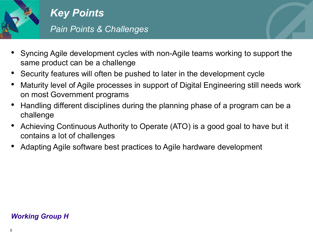

*Key Points Pain Points & Challenges*

- Syncing Agile development cycles with non-Agile teams working to support the same product can be a challenge
- Security features will often be pushed to later in the development cycle
- Maturity level of Agile processes in support of Digital Engineering still needs work on most Government programs
- Handling different disciplines during the planning phase of a program can be a challenge
- Achieving Continuous Authority to Operate (ATO) is a good goal to have but it contains a lot of challenges
- Adapting Agile software best practices to Agile hardware development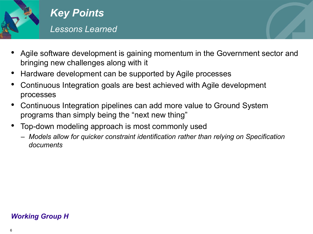

- Agile software development is gaining momentum in the Government sector and bringing new challenges along with it
- Hardware development can be supported by Agile processes
- Continuous Integration goals are best achieved with Agile development processes
- Continuous Integration pipelines can add more value to Ground System programs than simply being the "next new thing"
- Top-down modeling approach is most commonly used
	- *Models allow for quicker constraint identification rather than relying on Specification documents*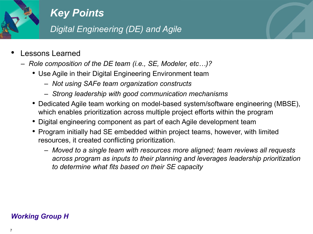

### *Digital Engineering (DE) and Agile*

- Lessons Learned
	- *Role composition of the DE team (i.e., SE, Modeler, etc…)?* 
		- Use Agile in their Digital Engineering Environment team
			- *Not using SAFe team organization constructs*
			- *Strong leadership with good communication mechanisms*
		- Dedicated Agile team working on model-based system/software engineering (MBSE), which enables prioritization across multiple project efforts within the program
		- Digital engineering component as part of each Agile development team
		- Program initially had SE embedded within project teams, however, with limited resources, it created conflicting prioritization.
			- *Moved to a single team with resources more aligned; team reviews all requests across program as inputs to their planning and leverages leadership prioritization to determine what fits based on their SE capacity*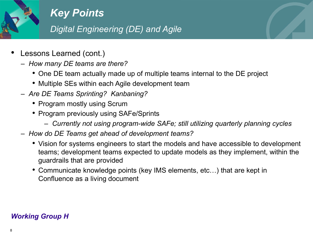

## *Digital Engineering (DE) and Agile*

- Lessons Learned (cont.)
	- *How many DE teams are there?*
		- One DE team actually made up of multiple teams internal to the DE project
		- Multiple SEs within each Agile development team
	- *Are DE Teams Sprinting? Kanbaning?*
		- Program mostly using Scrum
		- Program previously using SAFe/Sprints
			- *Currently not using program-wide SAFe; still utilizing quarterly planning cycles*
	- *How do DE Teams get ahead of development teams?* 
		- Vision for systems engineers to start the models and have accessible to development teams; development teams expected to update models as they implement, within the guardrails that are provided
		- Communicate knowledge points (key IMS elements, etc…) that are kept in Confluence as a living document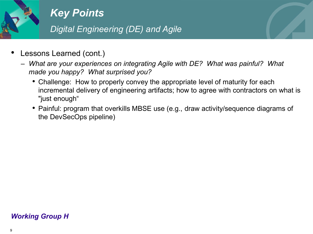

### *Digital Engineering (DE) and Agile*

- Lessons Learned (cont.)
	- *What are your experiences on integrating Agile with DE? What was painful? What made you happy? What surprised you?*
		- Challenge: How to properly convey the appropriate level of maturity for each incremental delivery of engineering artifacts; how to agree with contractors on what is "just enough"
		- Painful: program that overkills MBSE use (e.g., draw activity/sequence diagrams of the DevSecOps pipeline)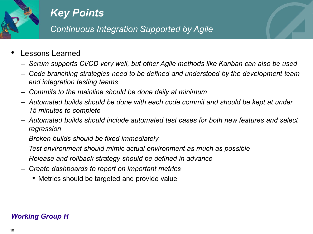

*Continuous Integration Supported by Agile*

- Lessons Learned
	- *Scrum supports CI/CD very well, but other Agile methods like Kanban can also be used*
	- *Code branching strategies need to be defined and understood by the development team and integration testing teams*
	- *Commits to the mainline should be done daily at minimum*
	- *Automated builds should be done with each code commit and should be kept at under 15 minutes to complete*
	- *Automated builds should include automated test cases for both new features and select regression*
	- *Broken builds should be fixed immediately*
	- *Test environment should mimic actual environment as much as possible*
	- *Release and rollback strategy should be defined in advance*
	- *Create dashboards to report on important metrics* 
		- Metrics should be targeted and provide value